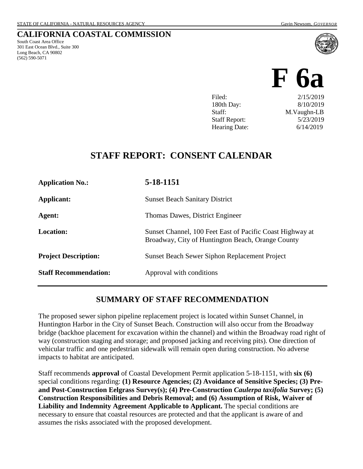South Coast Area Office 301 East Ocean Blvd., Suite 300 Long Beach, CA 90802 (562) 590-5071

**CALIFORNIA COASTAL COMMISSION**

# **F 6a** Filed: 2/15/2019 180th Day: 8/10/2019

Staff: M.Vaughn-LB Staff Report: 5/23/2019 Hearing Date: 6/14/2019

# **STAFF REPORT: CONSENT CALENDAR**

| <b>Application No.:</b>      | 5-18-1151                                                                                                      |
|------------------------------|----------------------------------------------------------------------------------------------------------------|
| Applicant:                   | <b>Sunset Beach Sanitary District</b>                                                                          |
| Agent:                       | Thomas Dawes, District Engineer                                                                                |
| <b>Location:</b>             | Sunset Channel, 100 Feet East of Pacific Coast Highway at<br>Broadway, City of Huntington Beach, Orange County |
| <b>Project Description:</b>  | <b>Sunset Beach Sewer Siphon Replacement Project</b>                                                           |
| <b>Staff Recommendation:</b> | Approval with conditions                                                                                       |

# **SUMMARY OF STAFF RECOMMENDATION**

The proposed sewer siphon pipeline replacement project is located within Sunset Channel, in Huntington Harbor in the City of Sunset Beach. Construction will also occur from the Broadway bridge (backhoe placement for excavation within the channel) and within the Broadway road right of way (construction staging and storage; and proposed jacking and receiving pits). One direction of vehicular traffic and one pedestrian sidewalk will remain open during construction. No adverse impacts to habitat are anticipated.

Staff recommends **approval** of Coastal Development Permit application 5-18-1151, with **six (6)** special conditions regarding: **(1) Resource Agencies; (2) Avoidance of Sensitive Species; (3) Preand Post-Construction Eelgrass Survey(s); (4) Pre-Construction** *Caulerpa taxifolia* **Survey; (5) Construction Responsibilities and Debris Removal; and (6) Assumption of Risk, Waiver of Liability and Indemnity Agreement Applicable to Applicant.** The special conditions are necessary to ensure that coastal resources are protected and that the applicant is aware of and assumes the risks associated with the proposed development.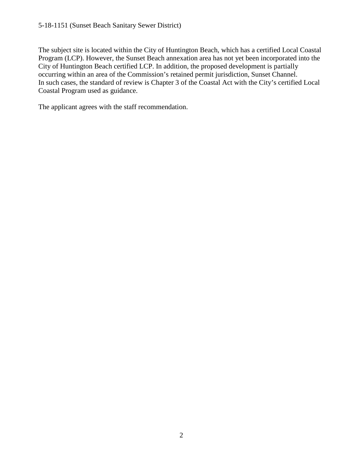The subject site is located within the City of Huntington Beach, which has a certified Local Coastal Program (LCP). However, the Sunset Beach annexation area has not yet been incorporated into the City of Huntington Beach certified LCP. In addition, the proposed development is partially occurring within an area of the Commission's retained permit jurisdiction, Sunset Channel. In such cases, the standard of review is Chapter 3 of the Coastal Act with the City's certified Local Coastal Program used as guidance.

The applicant agrees with the staff recommendation.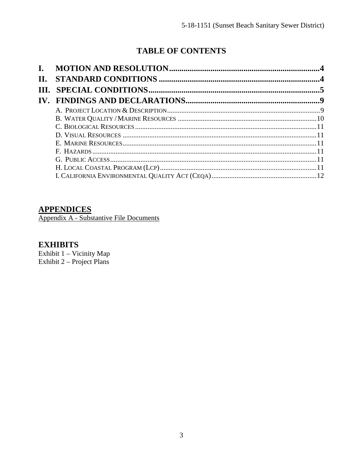# **TABLE OF CONTENTS**

| $\mathbf{I}$ . |  |
|----------------|--|
| II.            |  |
|                |  |
|                |  |
|                |  |
|                |  |
|                |  |
|                |  |
|                |  |
|                |  |
|                |  |
|                |  |
|                |  |

# **APPENDICES**

Appendix A - Substantive File Documents

# **EXHIBITS**

Exhibit 1 - Vicinity Map Exhibit  $2 -$  Project Plans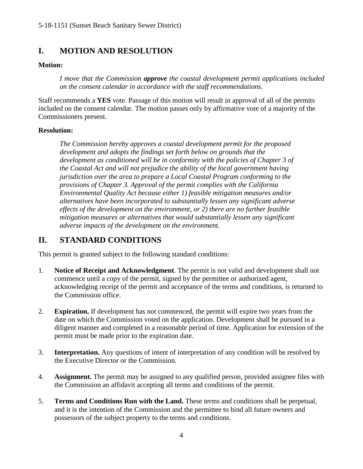# <span id="page-3-0"></span>**I. MOTION AND RESOLUTION**

#### **Motion:**

*I move that the Commission approve the coastal development permit applications included on the consent calendar in accordance with the staff recommendations.*

Staff recommends a **YES** vote. Passage of this motion will result in approval of all of the permits included on the consent calendar. The motion passes only by affirmative vote of a majority of the Commissioners present.

#### **Resolution:**

*The Commission hereby approves a coastal development permit for the proposed development and adopts the findings set forth below on grounds that the development as conditioned will be in conformity with the policies of Chapter 3 of the Coastal Act and will not prejudice the ability of the local government having jurisdiction over the area to prepare a Local Coastal Program conforming to the provisions of Chapter 3. Approval of the permit complies with the California Environmental Quality Act because either 1) feasible mitigation measures and/or alternatives have been incorporated to substantially lessen any significant adverse effects of the development on the environment, or 2) there are no further feasible mitigation measures or alternatives that would substantially lessen any significant adverse impacts of the development on the environment.*

#### <span id="page-3-1"></span>**II. STANDARD CONDITIONS**

This permit is granted subject to the following standard conditions:

- 1. **Notice of Receipt and Acknowledgment**. The permit is not valid and development shall not commence until a copy of the permit, signed by the permittee or authorized agent, acknowledging receipt of the permit and acceptance of the terms and conditions, is returned to the Commission office.
- 2. **Expiration.** If development has not commenced, the permit will expire two years from the date on which the Commission voted on the application. Development shall be pursued in a diligent manner and completed in a reasonable period of time. Application for extension of the permit must be made prior to the expiration date.
- 3. **Interpretation.** Any questions of intent of interpretation of any condition will be resolved by the Executive Director or the Commission.
- 4. **Assignment.** The permit may be assigned to any qualified person, provided assignee files with the Commission an affidavit accepting all terms and conditions of the permit.
- 5. **Terms and Conditions Run with the Land.** These terms and conditions shall be perpetual, and it is the intention of the Commission and the permittee to bind all future owners and possessors of the subject property to the terms and conditions.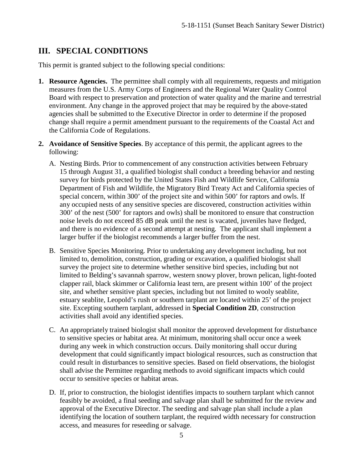#### <span id="page-4-0"></span>**III. SPECIAL CONDITIONS**

This permit is granted subject to the following special conditions:

- **1. Resource Agencies.** The permittee shall comply with all requirements, requests and mitigation measures from the U.S. Army Corps of Engineers and the Regional Water Quality Control Board with respect to preservation and protection of water quality and the marine and terrestrial environment. Any change in the approved project that may be required by the above-stated agencies shall be submitted to the Executive Director in order to determine if the proposed change shall require a permit amendment pursuant to the requirements of the Coastal Act and the California Code of Regulations.
- **2. Avoidance of Sensitive Species**. By acceptance of this permit, the applicant agrees to the following:
	- A. Nesting Birds. Prior to commencement of any construction activities between February 15 through August 31, a qualified biologist shall conduct a breeding behavior and nesting survey for birds protected by the United States Fish and Wildlife Service, California Department of Fish and Wildlife, the Migratory Bird Treaty Act and California species of special concern, within 300' of the project site and within 500' for raptors and owls. If any occupied nests of any sensitive species are discovered, construction activities within 300' of the nest (500' for raptors and owls) shall be monitored to ensure that construction noise levels do not exceed 85 dB peak until the nest is vacated, juveniles have fledged, and there is no evidence of a second attempt at nesting. The applicant shall implement a larger buffer if the biologist recommends a larger buffer from the nest.
	- B. Sensitive Species Monitoring. Prior to undertaking any development including, but not limited to, demolition, construction, grading or excavation, a qualified biologist shall survey the project site to determine whether sensitive bird species, including but not limited to Belding's savannah sparrow, western snowy plover, brown pelican, light-footed clapper rail, black skimmer or California least tern, are present within 100' of the project site, and whether sensitive plant species, including but not limited to wooly seablite, estuary seablite, Leopold's rush or southern tarplant are located within 25' of the project site. Excepting southern tarplant, addressed in **Special Condition 2D**, construction activities shall avoid any identified species.
	- C. An appropriately trained biologist shall monitor the approved development for disturbance to sensitive species or habitat area. At minimum, monitoring shall occur once a week during any week in which construction occurs. Daily monitoring shall occur during development that could significantly impact biological resources, such as construction that could result in disturbances to sensitive species. Based on field observations, the biologist shall advise the Permittee regarding methods to avoid significant impacts which could occur to sensitive species or habitat areas.
	- D. If, prior to construction, the biologist identifies impacts to southern tarplant which cannot feasibly be avoided, a final seeding and salvage plan shall be submitted for the review and approval of the Executive Director. The seeding and salvage plan shall include a plan identifying the location of southern tarplant, the required width necessary for construction access, and measures for reseeding or salvage.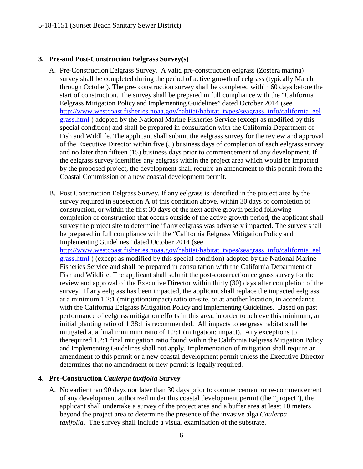#### **3. Pre-and Post-Construction Eelgrass Survey(s)**

- A. Pre-Construction Eelgrass Survey. A valid pre-construction eelgrass (Zostera marina) survey shall be completed during the period of active growth of eelgrass (typically March through October). The pre- construction survey shall be completed within 60 days before the start of construction. The survey shall be prepared in full compliance with the "California Eelgrass Mitigation Policy and Implementing Guidelines" dated October 2014 (see [http://www.westcoast.fisheries.noaa.gov/habitat/habitat\\_types/seagrass\\_info/california\\_eel](http://www.westcoast.fisheries.noaa.gov/habitat/habitat_types/seagrass_info/california_eelgrass.html) [grass.html](http://www.westcoast.fisheries.noaa.gov/habitat/habitat_types/seagrass_info/california_eelgrass.html) ) adopted by the National Marine Fisheries Service (except as modified by this special condition) and shall be prepared in consultation with the California Department of Fish and Wildlife. The applicant shall submit the eelgrass survey for the review and approval of the Executive Director within five (5) business days of completion of each eelgrass survey and no later than fifteen (15) business days prior to commencement of any development. If the eelgrass survey identifies any eelgrass within the project area which would be impacted by the proposed project, the development shall require an amendment to this permit from the Coastal Commission or a new coastal development permit.
- B. Post Construction Eelgrass Survey. If any eelgrass is identified in the project area by the survey required in subsection A of this condition above, within 30 days of completion of construction, or within the first 30 days of the next active growth period following completion of construction that occurs outside of the active growth period, the applicant shall survey the project site to determine if any eelgrass was adversely impacted. The survey shall be prepared in full compliance with the "California Eelgrass Mitigation Policy and Implementing Guidelines" dated October 2014 (see

[http://www.westcoast.fisheries.noaa.gov/habitat/habitat\\_types/seagrass\\_info/california\\_eel](http://www.westcoast.fisheries.noaa.gov/habitat/habitat_types/seagrass_info/california_eelgrass.html) [grass.html](http://www.westcoast.fisheries.noaa.gov/habitat/habitat_types/seagrass_info/california_eelgrass.html) ) (except as modified by this special condition) adopted by the National Marine Fisheries Service and shall be prepared in consultation with the California Department of Fish and Wildlife. The applicant shall submit the post-construction eelgrass survey for the review and approval of the Executive Director within thirty (30) days after completion of the survey. If any eelgrass has been impacted, the applicant shall replace the impacted eelgrass at a minimum 1.2:1 (mitigation:impact) ratio on-site, or at another location, in accordance with the California Eelgrass Mitigation Policy and Implementing Guidelines. Based on past performance of eelgrass mitigation efforts in this area, in order to achieve this minimum, an initial planting ratio of 1.38:1 is recommended. All impacts to eelgrass habitat shall be mitigated at a final minimum ratio of 1.2:1 (mitigation: impact). Any exceptions to therequired 1.2:1 final mitigation ratio found within the California Eelgrass Mitigation Policy and Implementing Guidelines shall not apply. Implementation of mitigation shall require an amendment to this permit or a new coastal development permit unless the Executive Director determines that no amendment or new permit is legally required.

#### **4. Pre-Construction** *Caulerpa taxifolia* **Survey**

A. No earlier than 90 days nor later than 30 days prior to commencement or re-commencement of any development authorized under this coastal development permit (the "project"), the applicant shall undertake a survey of the project area and a buffer area at least 10 meters beyond the project area to determine the presence of the invasive alga *Caulerpa taxifolia*. The survey shall include a visual examination of the substrate.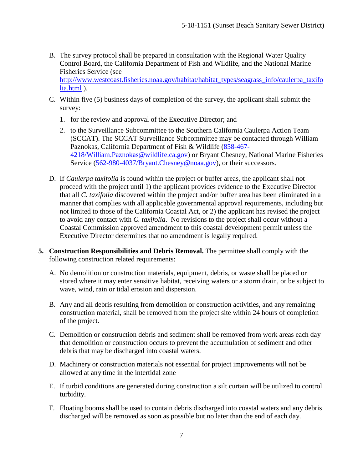- B. The survey protocol shall be prepared in consultation with the Regional Water Quality Control Board, the California Department of Fish and Wildlife, and the National Marine Fisheries Service (see [http://www.westcoast.fisheries.noaa.gov/habitat/habitat\\_types/seagrass\\_info/caulerpa\\_taxifo](http://www.westcoast.fisheries.noaa.gov/habitat/habitat_types/seagrass_info/caulerpa_taxifolia.html) [lia.html](http://www.westcoast.fisheries.noaa.gov/habitat/habitat_types/seagrass_info/caulerpa_taxifolia.html) ).
- C. Within five (5) business days of completion of the survey, the applicant shall submit the survey:
	- 1. for the review and approval of the Executive Director; and
	- 2. to the Surveillance Subcommittee to the Southern California Caulerpa Action Team (SCCAT). The SCCAT Surveillance Subcommittee may be contacted through William Paznokas, California Department of Fish & Wildlife [\(858-467-](mailto:858-467-4218/William.Paznokas@wildlife.ca.gov) [4218/William.Paznokas@wildlife.ca.gov\)](mailto:858-467-4218/William.Paznokas@wildlife.ca.gov) or Bryant Chesney, National Marine Fisheries Service [\(562-980-4037/Bryant.Chesney@noaa.gov\)](mailto:562-980-4037/Bryant.Chesney@noaa.gov), or their successors.
- D. If *Caulerpa taxifolia* is found within the project or buffer areas, the applicant shall not proceed with the project until 1) the applicant provides evidence to the Executive Director that all *C. taxifolia* discovered within the project and/or buffer area has been eliminated in a manner that complies with all applicable governmental approval requirements, including but not limited to those of the California Coastal Act, or 2) the applicant has revised the project to avoid any contact with *C. taxifolia*. No revisions to the project shall occur without a Coastal Commission approved amendment to this coastal development permit unless the Executive Director determines that no amendment is legally required.
- **5. Construction Responsibilities and Debris Removal.** The permittee shall comply with the following construction related requirements:
	- A. No demolition or construction materials, equipment, debris, or waste shall be placed or stored where it may enter sensitive habitat, receiving waters or a storm drain, or be subject to wave, wind, rain or tidal erosion and dispersion.
	- B. Any and all debris resulting from demolition or construction activities, and any remaining construction material, shall be removed from the project site within 24 hours of completion of the project.
	- C. Demolition or construction debris and sediment shall be removed from work areas each day that demolition or construction occurs to prevent the accumulation of sediment and other debris that may be discharged into coastal waters.
	- D. Machinery or construction materials not essential for project improvements will not be allowed at any time in the intertidal zone
	- E. If turbid conditions are generated during construction a silt curtain will be utilized to control turbidity.
	- F. Floating booms shall be used to contain debris discharged into coastal waters and any debris discharged will be removed as soon as possible but no later than the end of each day.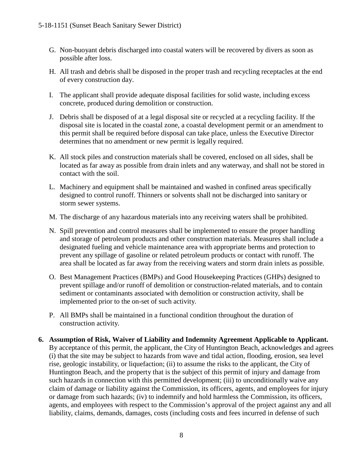- G. Non-buoyant debris discharged into coastal waters will be recovered by divers as soon as possible after loss.
- H. All trash and debris shall be disposed in the proper trash and recycling receptacles at the end of every construction day.
- I. The applicant shall provide adequate disposal facilities for solid waste, including excess concrete, produced during demolition or construction.
- J. Debris shall be disposed of at a legal disposal site or recycled at a recycling facility. If the disposal site is located in the coastal zone, a coastal development permit or an amendment to this permit shall be required before disposal can take place, unless the Executive Director determines that no amendment or new permit is legally required.
- K. All stock piles and construction materials shall be covered, enclosed on all sides, shall be located as far away as possible from drain inlets and any waterway, and shall not be stored in contact with the soil.
- L. Machinery and equipment shall be maintained and washed in confined areas specifically designed to control runoff. Thinners or solvents shall not be discharged into sanitary or storm sewer systems.
- M. The discharge of any hazardous materials into any receiving waters shall be prohibited.
- N. Spill prevention and control measures shall be implemented to ensure the proper handling and storage of petroleum products and other construction materials. Measures shall include a designated fueling and vehicle maintenance area with appropriate berms and protection to prevent any spillage of gasoline or related petroleum products or contact with runoff. The area shall be located as far away from the receiving waters and storm drain inlets as possible.
- O. Best Management Practices (BMPs) and Good Housekeeping Practices (GHPs) designed to prevent spillage and/or runoff of demolition or construction-related materials, and to contain sediment or contaminants associated with demolition or construction activity, shall be implemented prior to the on-set of such activity.
- P. All BMPs shall be maintained in a functional condition throughout the duration of construction activity.
- **6. Assumption of Risk, Waiver of Liability and Indemnity Agreement Applicable to Applicant.** By acceptance of this permit, the applicant, the City of Huntington Beach, acknowledges and agrees (i) that the site may be subject to hazards from wave and tidal action, flooding, erosion, sea level rise, geologic instability, or liquefaction; (ii) to assume the risks to the applicant, the City of Huntington Beach, and the property that is the subject of this permit of injury and damage from such hazards in connection with this permitted development; (iii) to unconditionally waive any claim of damage or liability against the Commission, its officers, agents, and employees for injury or damage from such hazards; (iv) to indemnify and hold harmless the Commission, its officers, agents, and employees with respect to the Commission's approval of the project against any and all liability, claims, demands, damages, costs (including costs and fees incurred in defense of such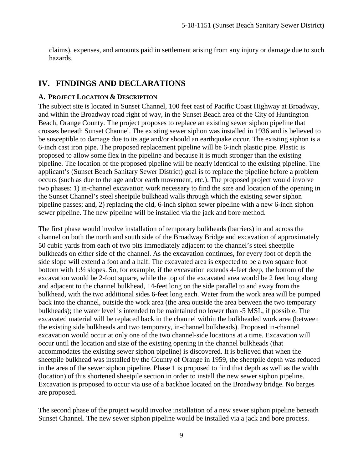claims), expenses, and amounts paid in settlement arising from any injury or damage due to such hazards.

### <span id="page-8-0"></span>**IV. FINDINGS AND DECLARATIONS**

#### <span id="page-8-1"></span>**A. PROJECT LOCATION & DESCRIPTION**

The subject site is located in Sunset Channel, 100 feet east of Pacific Coast Highway at Broadway, and within the Broadway road right of way, in the Sunset Beach area of the City of Huntington Beach, Orange County. The project proposes to replace an existing sewer siphon pipeline that crosses beneath Sunset Channel. The existing sewer siphon was installed in 1936 and is believed to be susceptible to damage due to its age and/or should an earthquake occur. The existing siphon is a 6-inch cast iron pipe. The proposed replacement pipeline will be 6-inch plastic pipe. Plastic is proposed to allow some flex in the pipeline and because it is much stronger than the existing pipeline. The location of the proposed pipeline will be nearly identical to the existing pipeline. The applicant's (Sunset Beach Sanitary Sewer District) goal is to replace the pipeline before a problem occurs (such as due to the age and/or earth movement, etc.). The proposed project would involve two phases: 1) in-channel excavation work necessary to find the size and location of the opening in the Sunset Channel's steel sheetpile bulkhead walls through which the existing sewer siphon pipeline passes; and, 2) replacing the old, 6-inch siphon sewer pipeline with a new 6-inch siphon sewer pipeline. The new pipeline will be installed via the jack and bore method.

The first phase would involve installation of temporary bulkheads (barriers) in and across the channel on both the north and south side of the Broadway Bridge and excavation of approximately 50 cubic yards from each of two pits immediately adjacent to the channel's steel sheetpile bulkheads on either side of the channel. As the excavation continues, for every foot of depth the side slope will extend a foot and a half. The excavated area is expected to be a two square foot bottom with 1:½ slopes. So, for example, if the excavation extends 4-feet deep, the bottom of the excavation would be 2-foot square, while the top of the excavated area would be 2 feet long along and adjacent to the channel bulkhead, 14-feet long on the side parallel to and away from the bulkhead, with the two additional sides 6-feet long each. Water from the work area will be pumped back into the channel, outside the work area (the area outside the area between the two temporary bulkheads); the water level is intended to be maintained no lower than -5 MSL, if possible. The excavated material will be replaced back in the channel within the bulkheaded work area (between the existing side bulkheads and two temporary, in-channel bulkheads). Proposed in-channel excavation would occur at only one of the two channel-side locations at a time. Excavation will occur until the location and size of the existing opening in the channel bulkheads (that accommodates the existing sewer siphon pipeline) is discovered. It is believed that when the sheetpile bulkhead was installed by the County of Orange in 1959, the sheetpile depth was reduced in the area of the sewer siphon pipeline. Phase 1 is proposed to find that depth as well as the width (location) of this shortened sheetpile section in order to install the new sewer siphon pipeline. Excavation is proposed to occur via use of a backhoe located on the Broadway bridge. No barges are proposed.

The second phase of the project would involve installation of a new sewer siphon pipeline beneath Sunset Channel. The new sewer siphon pipeline would be installed via a jack and bore process.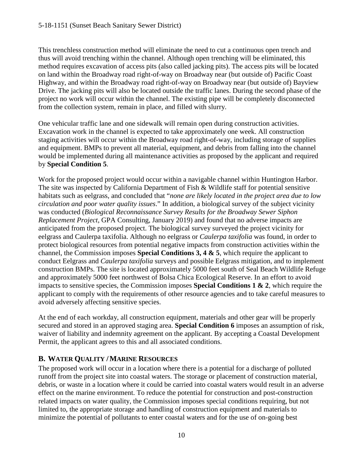This trenchless construction method will eliminate the need to cut a continuous open trench and thus will avoid trenching within the channel. Although open trenching will be eliminated, this method requires excavation of access pits (also called jacking pits). The access pits will be located on land within the Broadway road right-of-way on Broadway near (but outside of) Pacific Coast Highway, and within the Broadway road right-of-way on Broadway near (but outside of) Bayview Drive. The jacking pits will also be located outside the traffic lanes. During the second phase of the project no work will occur within the channel. The existing pipe will be completely disconnected from the collection system, remain in place, and filled with slurry.

One vehicular traffic lane and one sidewalk will remain open during construction activities. Excavation work in the channel is expected to take approximately one week. All construction staging activities will occur within the Broadway road right-of-way, including storage of supplies and equipment. BMPs to prevent all material, equipment, and debris from falling into the channel would be implemented during all maintenance activities as proposed by the applicant and required by **Special Condition 5**.

Work for the proposed project would occur within a navigable channel within Huntington Harbor. The site was inspected by California Department of Fish & Wildlife staff for potential sensitive habitats such as eelgrass, and concluded that "*none are likely located in the project area due to low circulation and poor water quality issues*." In addition, a biological survey of the subject vicinity was conducted (*Biological Reconnaissance Survey Results for the Broadway Sewer Siphon Replacement Project*, GPA Consulting, January 2019) and found that no adverse impacts are anticipated from the proposed project. The biological survey surveyed the project vicinity for eelgrass and Caulerpa taxifolia. Although no eelgrass or *Caulerpa taxifolia* was found, in order to protect biological resources from potential negative impacts from construction activities within the channel, the Commission imposes **Special Conditions 3, 4 & 5**, which require the applicant to conduct Eelgrass and *Caulerpa taxifolia* surveys and possible Eelgrass mitigation, and to implement construction BMPs. The site is located approximately 5000 feet south of Seal Beach Wildlife Refuge and approximately 5000 feet northwest of Bolsa Chica Ecological Reserve. In an effort to avoid impacts to sensitive species, the Commission imposes **Special Conditions 1 & 2**, which require the applicant to comply with the requirements of other resource agencies and to take careful measures to avoid adversely affecting sensitive species.

At the end of each workday, all construction equipment, materials and other gear will be properly secured and stored in an approved staging area. **Special Condition 6** imposes an assumption of risk, waiver of liability and indemnity agreement on the applicant. By accepting a Coastal Development Permit, the applicant agrees to this and all associated conditions.

#### <span id="page-9-0"></span>**B. WATER QUALITY /MARINE RESOURCES**

The proposed work will occur in a location where there is a potential for a discharge of polluted runoff from the project site into coastal waters. The storage or placement of construction material, debris, or waste in a location where it could be carried into coastal waters would result in an adverse effect on the marine environment. To reduce the potential for construction and post-construction related impacts on water quality, the Commission imposes special conditions requiring, but not limited to, the appropriate storage and handling of construction equipment and materials to minimize the potential of pollutants to enter coastal waters and for the use of on-going best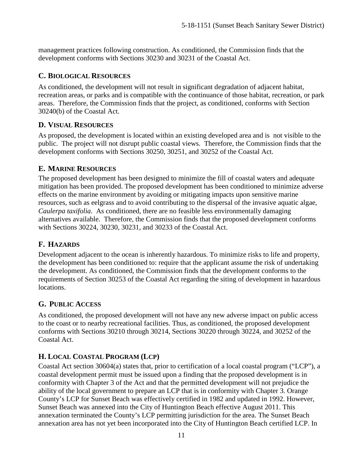management practices following construction. As conditioned, the Commission finds that the development conforms with Sections 30230 and 30231 of the Coastal Act.

### <span id="page-10-0"></span>**C. BIOLOGICAL RESOURCES**

As conditioned, the development will not result in significant degradation of adjacent habitat, recreation areas, or parks and is compatible with the continuance of those habitat, recreation, or park areas. Therefore, the Commission finds that the project, as conditioned, conforms with Section 30240(b) of the Coastal Act.

#### <span id="page-10-1"></span>**D. VISUAL RESOURCES**

As proposed, the development is located within an existing developed area and is not visible to the public. The project will not disrupt public coastal views. Therefore, the Commission finds that the development conforms with Sections 30250, 30251, and 30252 of the Coastal Act.

#### <span id="page-10-2"></span>**E. MARINE RESOURCES**

The proposed development has been designed to minimize the fill of coastal waters and adequate mitigation has been provided. The proposed development has been conditioned to minimize adverse effects on the marine environment by avoiding or mitigating impacts upon sensitive marine resources, such as eelgrass and to avoid contributing to the dispersal of the invasive aquatic algae, *Caulerpa taxifolia*. As conditioned, there are no feasible less environmentally damaging alternatives available. Therefore, the Commission finds that the proposed development conforms with Sections 30224, 30230, 30231, and 30233 of the Coastal Act.

# <span id="page-10-3"></span>**F. HAZARDS**

Development adjacent to the ocean is inherently hazardous. To minimize risks to life and property, the development has been conditioned to: require that the applicant assume the risk of undertaking the development. As conditioned, the Commission finds that the development conforms to the requirements of Section 30253 of the Coastal Act regarding the siting of development in hazardous locations.

#### <span id="page-10-4"></span>**G. PUBLIC ACCESS**

As conditioned, the proposed development will not have any new adverse impact on public access to the coast or to nearby recreational facilities. Thus, as conditioned, the proposed development conforms with Sections 30210 through 30214, Sections 30220 through 30224, and 30252 of the Coastal Act.

# <span id="page-10-5"></span>**H. LOCAL COASTAL PROGRAM (LCP)**

Coastal Act section 30604(a) states that, prior to certification of a local coastal program ("LCP"), a coastal development permit must be issued upon a finding that the proposed development is in conformity with Chapter 3 of the Act and that the permitted development will not prejudice the ability of the local government to prepare an LCP that is in conformity with Chapter 3. Orange County's LCP for Sunset Beach was effectively certified in 1982 and updated in 1992. However, Sunset Beach was annexed into the City of Huntington Beach effective August 2011. This annexation terminated the County's LCP permitting jurisdiction for the area. The Sunset Beach annexation area has not yet been incorporated into the City of Huntington Beach certified LCP. In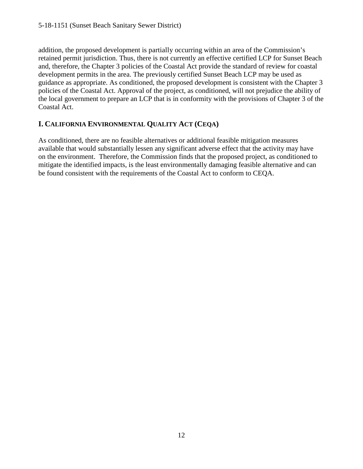#### 5-18-1151 (Sunset Beach Sanitary Sewer District)

addition, the proposed development is partially occurring within an area of the Commission's retained permit jurisdiction. Thus, there is not currently an effective certified LCP for Sunset Beach and, therefore, the Chapter 3 policies of the Coastal Act provide the standard of review for coastal development permits in the area. The previously certified Sunset Beach LCP may be used as guidance as appropriate. As conditioned, the proposed development is consistent with the Chapter 3 policies of the Coastal Act. Approval of the project, as conditioned, will not prejudice the ability of the local government to prepare an LCP that is in conformity with the provisions of Chapter 3 of the Coastal Act.

#### <span id="page-11-0"></span>**I. CALIFORNIA ENVIRONMENTAL QUALITY ACT (CEQA)**

As conditioned, there are no feasible alternatives or additional feasible mitigation measures available that would substantially lessen any significant adverse effect that the activity may have on the environment. Therefore, the Commission finds that the proposed project, as conditioned to mitigate the identified impacts, is the least environmentally damaging feasible alternative and can be found consistent with the requirements of the Coastal Act to conform to CEQA.